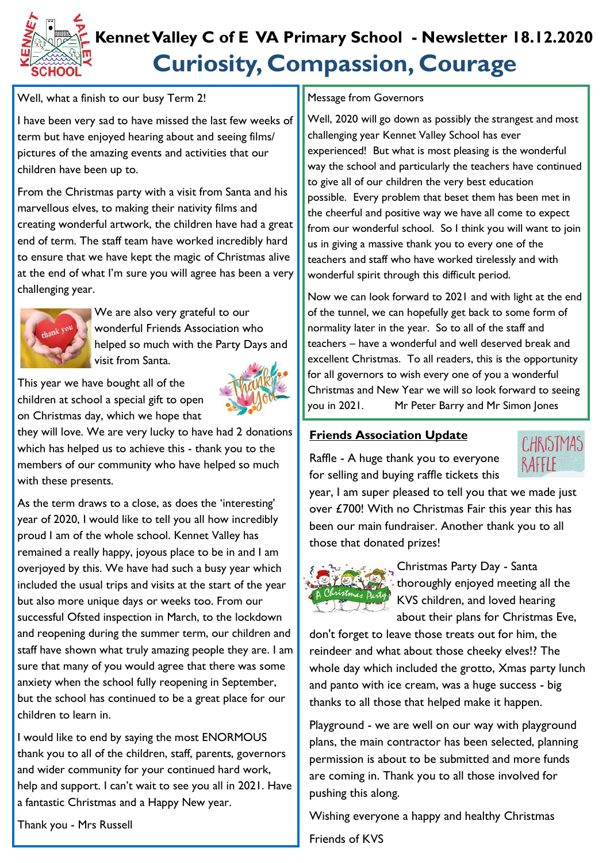

# **Curiosity, Compassion, Courage Kennet Valley C of E VA Primary School - Newsletter 18.12.2020**

Well, what a finish to our busy Term 2!

I have been very sad to have missed the last few weeks of term but have enjoyed hearing about and seeing films/ pictures of the amazing events and activities that our children have been up to.

From the Christmas party with a visit from Santa and his marvellous elves, to making their nativity films and creating wonderful artwork, the children have had a great end of term. The staff team have worked incredibly hard to ensure that we have kept the magic of Christmas alive at the end of what I'm sure you will agree has been a very challenging year.



We are also very grateful to our wonderful Friends Association who helped so much with the Party Days and visit from Santa.

This year we have bought all of the children at school a special gift to open on Christmas day, which we hope that



they will love. We are very lucky to have had 2 donations which has helped us to achieve this - thank you to the members of our community who have helped so much with these presents.

As the term draws to a close, as does the 'interesting' year of 2020, I would like to tell you all how incredibly proud I am of the whole school. Kennet Valley has remained a really happy, joyous place to be in and I am overjoyed by this. We have had such a busy year which included the usual trips and visits at the start of the year but also more unique days or weeks too. From our successful Ofsted inspection in March, to the lockdown and reopening during the summer term, our children and staff have shown what truly amazing people they are. I am sure that many of you would agree that there was some anxiety when the school fully reopening in September, but the school has continued to be a great place for our children to learn in.

I would like to end by saying the most ENORMOUS thank you to all of the children, staff, parents, governors and wider community for your continued hard work, help and support. I can't wait to see you all in 2021. Have a fantastic Christmas and a Happy New year.

Thank you - Mrs Russell

#### Message from Governors

Well, 2020 will go down as possibly the strangest and most challenging year Kennet Valley School has ever experienced! But what is most pleasing is the wonderful way the school and particularly the teachers have continued to give all of our children the very best education possible. Every problem that beset them has been met in the cheerful and positive way we have all come to expect from our wonderful school. So I think you will want to join us in giving a massive thank you to every one of the teachers and staff who have worked tirelessly and with wonderful spirit through this difficult period.

Now we can look forward to 2021 and with light at the end of the tunnel, we can hopefully get back to some form of normality later in the year. So to all of the staff and teachers – have a wonderful and well deserved break and excellent Christmas. To all readers, this is the opportunity for all governors to wish every one of you a wonderful Christmas and New Year we will so look forward to seeing you in 2021. Mr Peter Barry and Mr Simon Jones

### **Friends Association Update**

Raffle - A huge thank you to everyone for selling and buying raffle tickets this



year, I am super pleased to tell you that we made just over £700! With no Christmas Fair this year this has been our main fundraiser. Another thank you to all those that donated prizes!



Christmas Party Day - Santa thoroughly enjoyed meeting all the KVS children, and loved hearing about their plans for Christmas Eve,

don't forget to leave those treats out for him, the reindeer and what about those cheeky elves!? The whole day which included the grotto, Xmas party lunch and panto with ice cream, was a huge success - big thanks to all those that helped make it happen.

Playground - we are well on our way with playground plans, the main contractor has been selected, planning permission is about to be submitted and more funds are coming in. Thank you to all those involved for pushing this along.

Wishing everyone a happy and healthy Christmas

Friends of KVS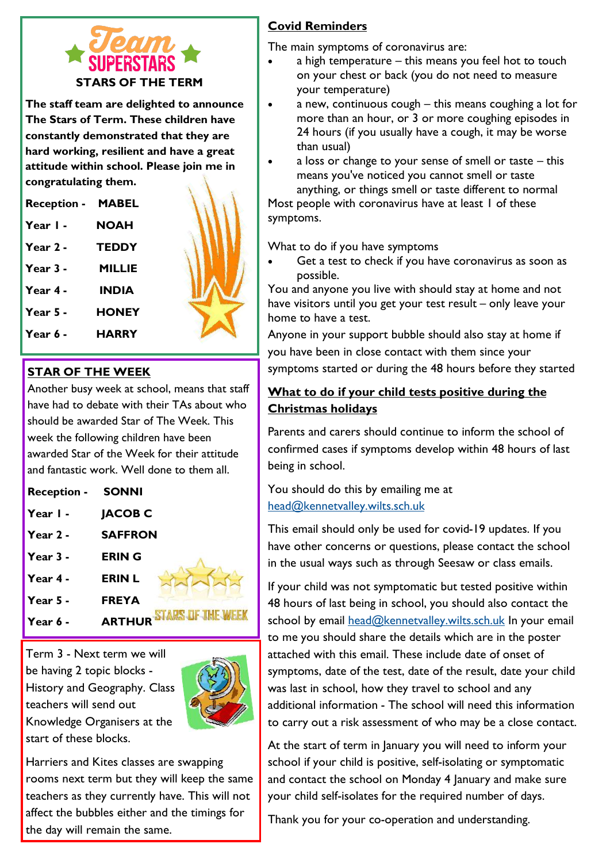

**The staff team are delighted to announce The Stars of Term. These children have constantly demonstrated that they are hard working, resilient and have a great attitude within school. Please join me in congratulating them.** 

**Reception - MABEL Year 1 - NOAH Year 2 - TEDDY Year 3 - MILLIE Year 4 - INDIA Year 5 - HONEY Year 6 - HARRY**

#### **STAR OF THE WEEK**

Another busy week at school, means that staff have had to debate with their TAs about who should be awarded Star of The Week. This week the following children have been awarded Star of the Week for their attitude and fantastic work. Well done to them all.

| <b>Reception -</b> | <b>SONNI</b>   |
|--------------------|----------------|
| Year I -           | <b>JACOB C</b> |
| Year $2 -$         | <b>SAFFRON</b> |
| Year $3 -$         | <b>ERING</b>   |
| Year 4 -           | <b>ERIN L</b>  |
| Year $5 -$         | <b>FREYA</b>   |
| Year 6 -           | <b>ARTHUR</b>  |

Term 3 - Next term we will be having 2 topic blocks - History and Geography. Class teachers will send out Knowledge Organisers at the start of these blocks.



F THE WEB

Harriers and Kites classes are swapping rooms next term but they will keep the same teachers as they currently have. This will not affect the bubbles either and the timings for the day will remain the same.

# **Covid Reminders**

The main symptoms of coronavirus are:

- a high temperature this means you feel hot to touch on your chest or back (you do not need to measure your temperature)
- a new, continuous cough this means coughing a lot for more than an hour, or 3 or more coughing episodes in 24 hours (if you usually have a cough, it may be worse than usual)
- a loss or change to your sense of smell or taste this means you've noticed you cannot smell or taste anything, or things smell or taste different to normal Most people with coronavirus have at least 1 of these symptoms.

What to do if you have symptoms

Get a test to check if you have coronavirus as soon as possible.

You and anyone you live with should stay at home and not have visitors until you get your test result – only leave your home to have a test.

Anyone in your support bubble should also stay at home if you have been in close contact with them since your symptoms started or during the 48 hours before they started

## **What to do if your child tests positive during the Christmas holidays**

Parents and carers should continue to inform the school of confirmed cases if symptoms develop within 48 hours of last being in school.

You should do this by emailing me at [head@kennetvalley.wilts.sch.uk](mailto:head@kennetvalley.wilts.sch.uk)

This email should only be used for covid-19 updates. If you have other concerns or questions, please contact the school in the usual ways such as through Seesaw or class emails.

If your child was not symptomatic but tested positive within 48 hours of last being in school, you should also contact the school by email [head@kennetvalley.wilts.sch.uk](mailto:head@kennetvalley.wilts.sch.uk) In your email to me you should share the details which are in the poster attached with this email. These include date of onset of symptoms, date of the test, date of the result, date your child was last in school, how they travel to school and any additional information - The school will need this information to carry out a risk assessment of who may be a close contact.

At the start of term in January you will need to inform your school if your child is positive, self-isolating or symptomatic and contact the school on Monday 4 January and make sure your child self-isolates for the required number of days.

Thank you for your co-operation and understanding.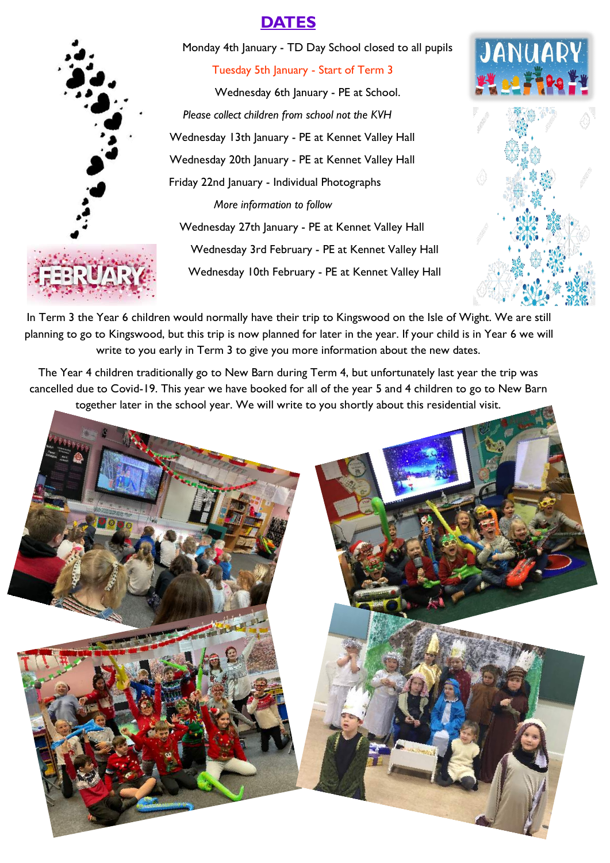# **DATES**



Monday 4th January - TD Day School closed to all pupils

Tuesday 5th January - Start of Term 3

 Wednesday 6th January - PE at School. *Please collect children from school not the KVH* Wednesday 13th January - PE at Kennet Valley Hall Wednesday 20th January - PE at Kennet Valley Hall Friday 22nd January - Individual Photographs *More information to follow*  Wednesday 27th January - PE at Kennet Valley Hall Wednesday 3rd February - PE at Kennet Valley Hall Wednesday 10th February - PE at Kennet Valley Hall





In Term 3 the Year 6 children would normally have their trip to Kingswood on the Isle of Wight. We are still planning to go to Kingswood, but this trip is now planned for later in the year. If your child is in Year 6 we will write to you early in Term 3 to give you more information about the new dates.

The Year 4 children traditionally go to New Barn during Term 4, but unfortunately last year the trip was cancelled due to Covid-19. This year we have booked for all of the year 5 and 4 children to go to New Barn together later in the school year. We will write to you shortly about this residential visit.